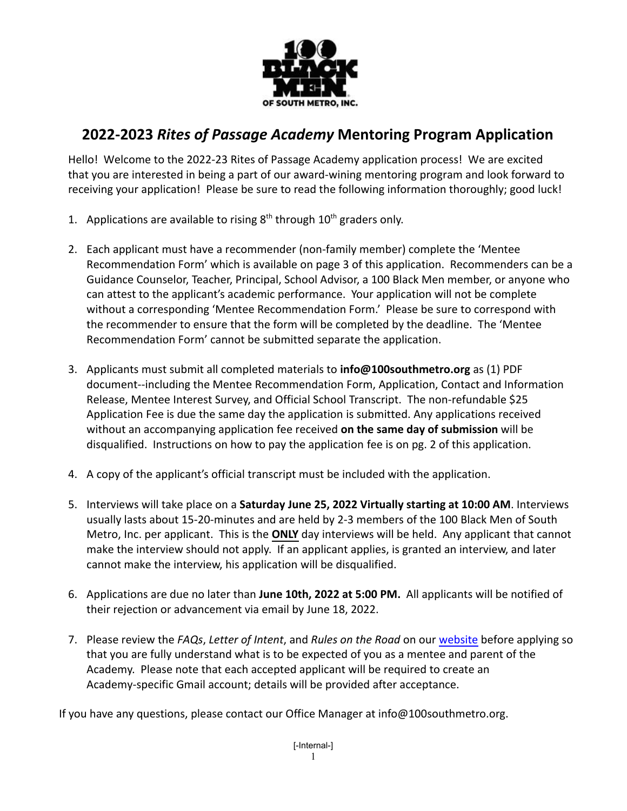

## **2022-2023** *Rites of Passage Academy* **Mentoring Program Application**

Hello! Welcome to the 2022-23 Rites of Passage Academy application process! We are excited that you are interested in being a part of our award-wining mentoring program and look forward to receiving your application! Please be sure to read the following information thoroughly; good luck!

- 1. Applications are available to rising  $8<sup>th</sup>$  through  $10<sup>th</sup>$  graders only.
- 2. Each applicant must have a recommender (non-family member) complete the 'Mentee Recommendation Form' which is available on page 3 of this application. Recommenders can be a Guidance Counselor, Teacher, Principal, School Advisor, a 100 Black Men member, or anyone who can attest to the applicant's academic performance. Your application will not be complete without a corresponding 'Mentee Recommendation Form.' Please be sure to correspond with the recommender to ensure that the form will be completed by the deadline. The 'Mentee Recommendation Form' cannot be submitted separate the application.
- 3. Applicants must submit all completed materials to **info@100southmetro.org** as (1) PDF document--including the Mentee Recommendation Form, Application, Contact and Information Release, Mentee Interest Survey, and Official School Transcript. The non-refundable \$25 Application Fee is due the same day the application is submitted. Any applications received without an accompanying application fee received **on the same day of submission** will be disqualified. Instructions on how to pay the application fee is on pg. 2 of this application.
- 4. A copy of the applicant's official transcript must be included with the application.
- 5. Interviews will take place on a **Saturday June 25, 2022 Virtually starting at 10:00 AM**. Interviews usually lasts about 15-20-minutes and are held by 2-3 members of the 100 Black Men of South Metro, Inc. per applicant. This is the **ONLY** day interviews will be held. Any applicant that cannot make the interview should not apply. If an applicant applies, is granted an interview, and later cannot make the interview, his application will be disqualified.
- 6. Applications are due no later than **June 10th, 2022 at 5:00 PM.** All applicants will be notified of their rejection or advancement via email by June 18, 2022.
- 7. Please review the *FAQs*, *Letter of Intent*, and *Rules on the Road* on our [website](https://www.100southmetro.org/wp-content/uploads/2019/01/FREQUENTLY-ASKED-QUESTIONS-Rites-of-Passage-Academy.pdf) before applying so that you are fully understand what is to be expected of you as a mentee and parent of the Academy. Please note that each accepted applicant will be required to create an Academy-specific Gmail account; details will be provided after acceptance.

If you have any questions, please contact our Office Manager at info@100southmetro.org.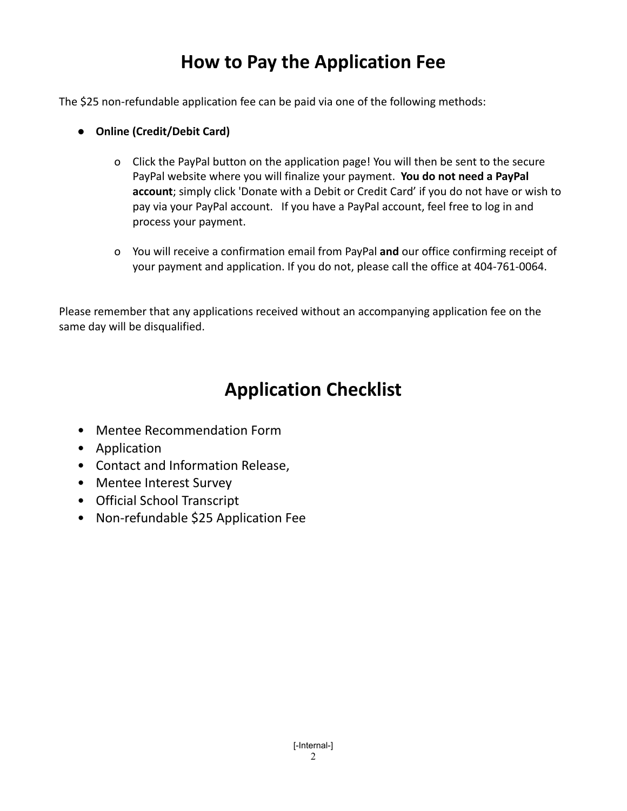# **How to Pay the Application Fee**

The \$25 non-refundable application fee can be paid via one of the following methods:

- **● Online (Credit/Debit Card)**
	- o Click the PayPal button on the application page! You will then be sent to the secure PayPal website where you will finalize your payment. **You do not need a PayPal account**; simply click 'Donate with a Debit or Credit Card' if you do not have or wish to pay via your PayPal account. If you have a PayPal account, feel free to log in and process your payment.
	- o You will receive a confirmation email from PayPal **and** our office confirming receipt of your payment and application. If you do not, please call the office at 404-761-0064.

Please remember that any applications received without an accompanying application fee on the same day will be disqualified.

# **Application Checklist**

- Mentee Recommendation Form
- Application
- Contact and Information Release,
- Mentee Interest Survey
- Official School Transcript
- Non-refundable \$25 Application Fee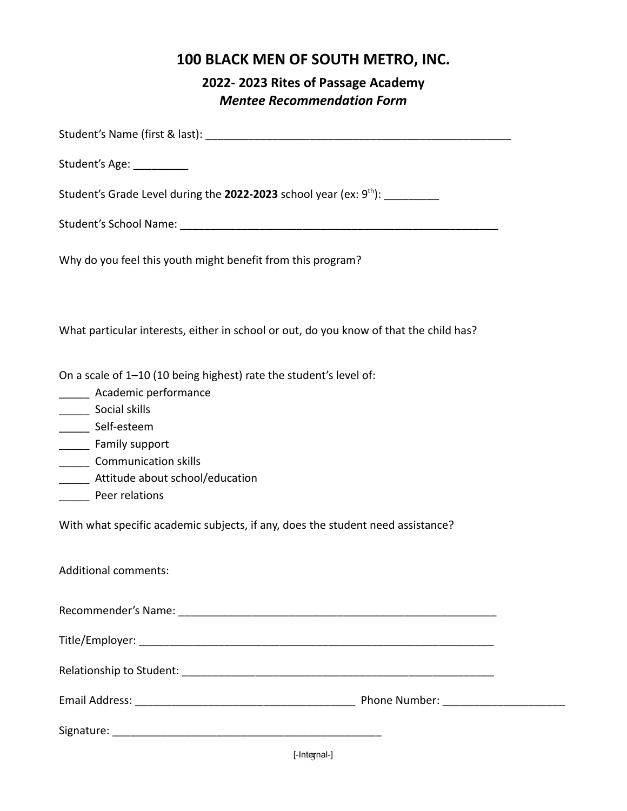### **2022- 2023 Rites of Passage Academy** *Mentee Recommendation Form*

| Student's Age: ___________                                                                                                                                                                                                                                                                                                        |
|-----------------------------------------------------------------------------------------------------------------------------------------------------------------------------------------------------------------------------------------------------------------------------------------------------------------------------------|
| Student's Grade Level during the <b>2022-2023</b> school year (ex: 9 <sup>th</sup> ): __________                                                                                                                                                                                                                                  |
|                                                                                                                                                                                                                                                                                                                                   |
| Why do you feel this youth might benefit from this program?                                                                                                                                                                                                                                                                       |
| What particular interests, either in school or out, do you know of that the child has?                                                                                                                                                                                                                                            |
| On a scale of 1-10 (10 being highest) rate the student's level of:<br>______ Academic performance<br>______ Self-esteem<br>________ Family support<br>_______ Communication skills<br>______ Attitude about school/education<br>Peer relations<br>With what specific academic subjects, if any, does the student need assistance? |
| Additional comments:                                                                                                                                                                                                                                                                                                              |
|                                                                                                                                                                                                                                                                                                                                   |
|                                                                                                                                                                                                                                                                                                                                   |
|                                                                                                                                                                                                                                                                                                                                   |
|                                                                                                                                                                                                                                                                                                                                   |
|                                                                                                                                                                                                                                                                                                                                   |

[-Inte<del>g</del>nal-]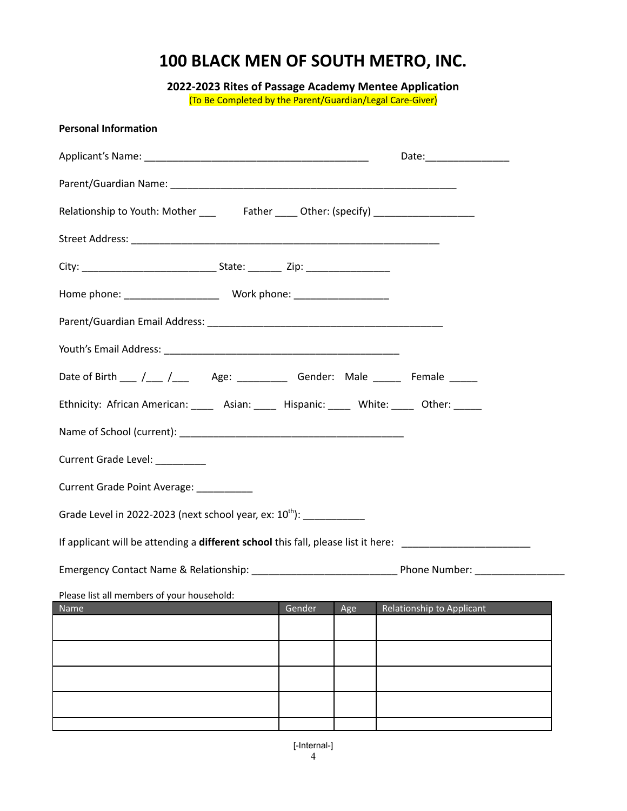**2022-2023 Rites of Passage Academy Mentee Application** (To Be Completed by the Parent/Guardian/Legal Care-Giver)

| <b>Personal Information</b>                                                               |                         |     |                           |  |  |  |  |  |  |
|-------------------------------------------------------------------------------------------|-------------------------|-----|---------------------------|--|--|--|--|--|--|
|                                                                                           | Date:__________________ |     |                           |  |  |  |  |  |  |
|                                                                                           |                         |     |                           |  |  |  |  |  |  |
|                                                                                           |                         |     |                           |  |  |  |  |  |  |
|                                                                                           |                         |     |                           |  |  |  |  |  |  |
| City: ___________________________________State: ________________________________          |                         |     |                           |  |  |  |  |  |  |
|                                                                                           |                         |     |                           |  |  |  |  |  |  |
|                                                                                           |                         |     |                           |  |  |  |  |  |  |
|                                                                                           |                         |     |                           |  |  |  |  |  |  |
| Date of Birth ___ /___ /___ Age: _________ Gender: Male _____ Female _____                |                         |     |                           |  |  |  |  |  |  |
| Ethnicity: African American: _____ Asian: _____ Hispanic: _____ White: _____ Other: _____ |                         |     |                           |  |  |  |  |  |  |
|                                                                                           |                         |     |                           |  |  |  |  |  |  |
| Current Grade Level: ________                                                             |                         |     |                           |  |  |  |  |  |  |
| Current Grade Point Average: __________                                                   |                         |     |                           |  |  |  |  |  |  |
| Grade Level in 2022-2023 (next school year, ex: 10 <sup>th</sup> ): ____________          |                         |     |                           |  |  |  |  |  |  |
|                                                                                           |                         |     |                           |  |  |  |  |  |  |
|                                                                                           |                         |     |                           |  |  |  |  |  |  |
| Please list all members of your household:                                                | Gender                  |     | Relationship to Applicant |  |  |  |  |  |  |
| Name                                                                                      |                         | Age |                           |  |  |  |  |  |  |
|                                                                                           |                         |     |                           |  |  |  |  |  |  |
|                                                                                           |                         |     |                           |  |  |  |  |  |  |
|                                                                                           |                         |     |                           |  |  |  |  |  |  |
|                                                                                           |                         |     |                           |  |  |  |  |  |  |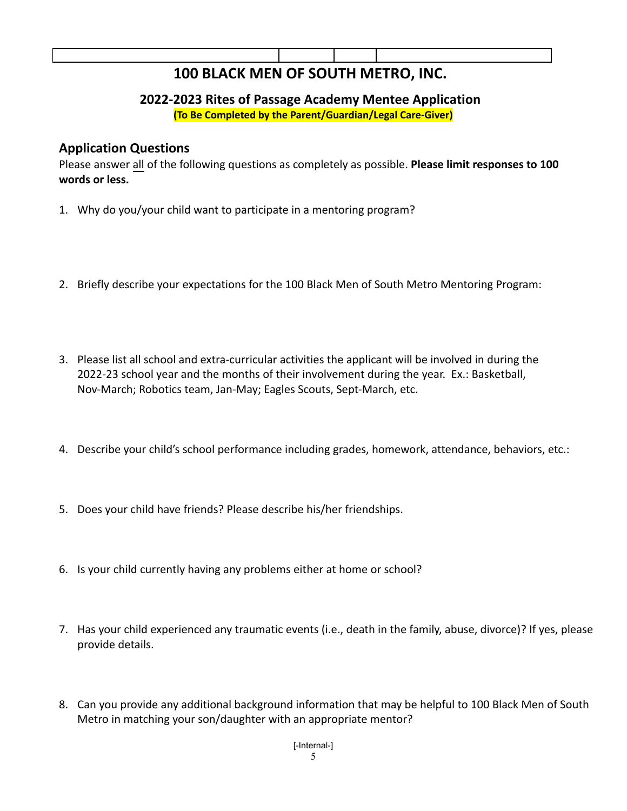#### **2022-2023 Rites of Passage Academy Mentee Application (To Be Completed by the Parent/Guardian/Legal Care-Giver)**

#### **Application Questions**

Please answer all of the following questions as completely as possible. **Please limit responses to 100 words or less.**

- 1. Why do you/your child want to participate in a mentoring program?
- 2. Briefly describe your expectations for the 100 Black Men of South Metro Mentoring Program:
- 3. Please list all school and extra-curricular activities the applicant will be involved in during the 2022-23 school year and the months of their involvement during the year. Ex.: Basketball, Nov-March; Robotics team, Jan-May; Eagles Scouts, Sept-March, etc.
- 4. Describe your child's school performance including grades, homework, attendance, behaviors, etc.:
- 5. Does your child have friends? Please describe his/her friendships.
- 6. Is your child currently having any problems either at home or school?
- 7. Has your child experienced any traumatic events (i.e., death in the family, abuse, divorce)? If yes, please provide details.
- 8. Can you provide any additional background information that may be helpful to 100 Black Men of South Metro in matching your son/daughter with an appropriate mentor?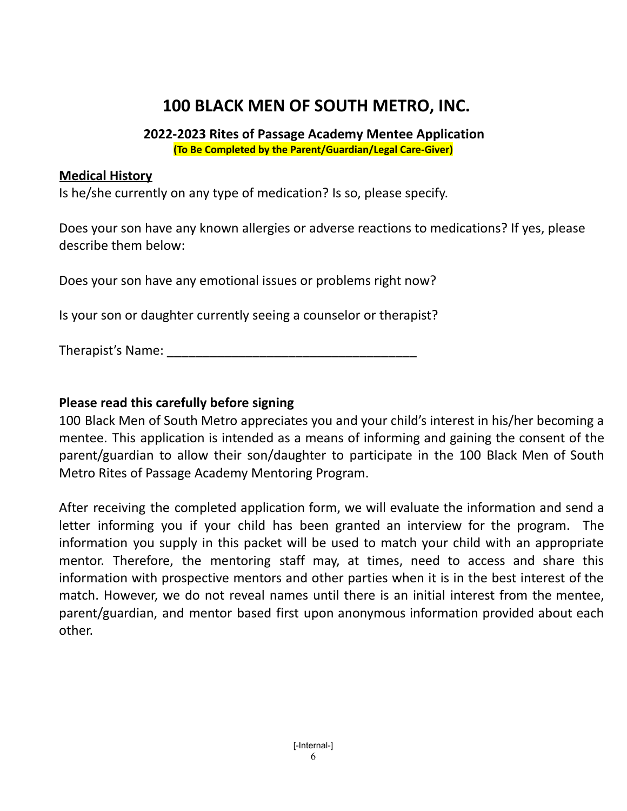#### **2022-2023 Rites of Passage Academy Mentee Application (To Be Completed by the Parent/Guardian/Legal Care-Giver)**

### **Medical History**

Is he/she currently on any type of medication? Is so, please specify.

Does your son have any known allergies or adverse reactions to medications? If yes, please describe them below:

Does your son have any emotional issues or problems right now?

Is your son or daughter currently seeing a counselor or therapist?

Therapist's Name:

### **Please read this carefully before signing**

100 Black Men of South Metro appreciates you and your child's interest in his/her becoming a mentee. This application is intended as a means of informing and gaining the consent of the parent/guardian to allow their son/daughter to participate in the 100 Black Men of South Metro Rites of Passage Academy Mentoring Program.

After receiving the completed application form, we will evaluate the information and send a letter informing you if your child has been granted an interview for the program. The information you supply in this packet will be used to match your child with an appropriate mentor. Therefore, the mentoring staff may, at times, need to access and share this information with prospective mentors and other parties when it is in the best interest of the match. However, we do not reveal names until there is an initial interest from the mentee, parent/guardian, and mentor based first upon anonymous information provided about each other.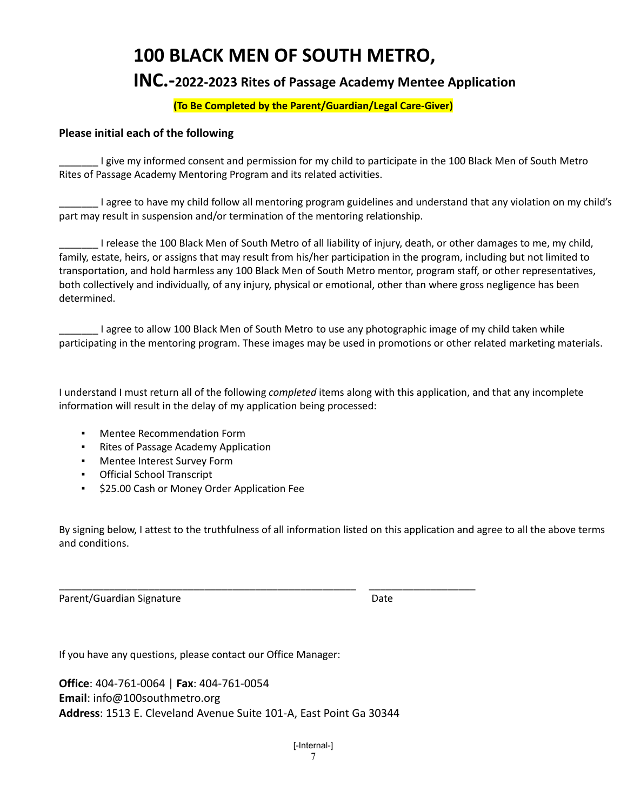### **INC.-<sup>202</sup>2-202<sup>3</sup> Rites of Passage Academy Mentee Application**

#### **(To Be Completed by the Parent/Guardian/Legal Care-Giver)**

#### **Please initial each of the following**

I give my informed consent and permission for my child to participate in the 100 Black Men of South Metro Rites of Passage Academy Mentoring Program and its related activities.

\_\_\_\_\_\_\_ I agree to have my child follow all mentoring program guidelines and understand that any violation on my child's part may result in suspension and/or termination of the mentoring relationship.

\_\_\_\_\_\_\_ I release the 100 Black Men of South Metro of all liability of injury, death, or other damages to me, my child, family, estate, heirs, or assigns that may result from his/her participation in the program, including but not limited to transportation, and hold harmless any 100 Black Men of South Metro mentor, program staff, or other representatives, both collectively and individually, of any injury, physical or emotional, other than where gross negligence has been determined.

\_\_\_\_\_\_\_ I agree to allow 100 Black Men of South Metro to use any photographic image of my child taken while participating in the mentoring program. These images may be used in promotions or other related marketing materials.

I understand I must return all of the following *completed* items along with this application, and that any incomplete information will result in the delay of my application being processed:

- **Mentee Recommendation Form**
- Rites of Passage Academy Application
- Mentee Interest Survey Form
- Official School Transcript
- \$25.00 Cash or Money Order Application Fee

By signing below, I attest to the truthfulness of all information listed on this application and agree to all the above terms and conditions.

\_\_\_\_\_\_\_\_\_\_\_\_\_\_\_\_\_\_\_\_\_\_\_\_\_\_\_\_\_\_\_\_\_\_\_\_\_\_\_\_\_\_\_\_\_\_\_\_\_\_\_\_\_ \_\_\_\_\_\_\_\_\_\_\_\_\_\_\_\_\_\_\_ Parent/Guardian Signature Date

If you have any questions, please contact our Office Manager:

**Office**: 404-761-0064 | **Fax**: 404-761-0054 **Email**: info@100southmetro.org **Address**: 1513 E. Cleveland Avenue Suite 101-A, East Point Ga 30344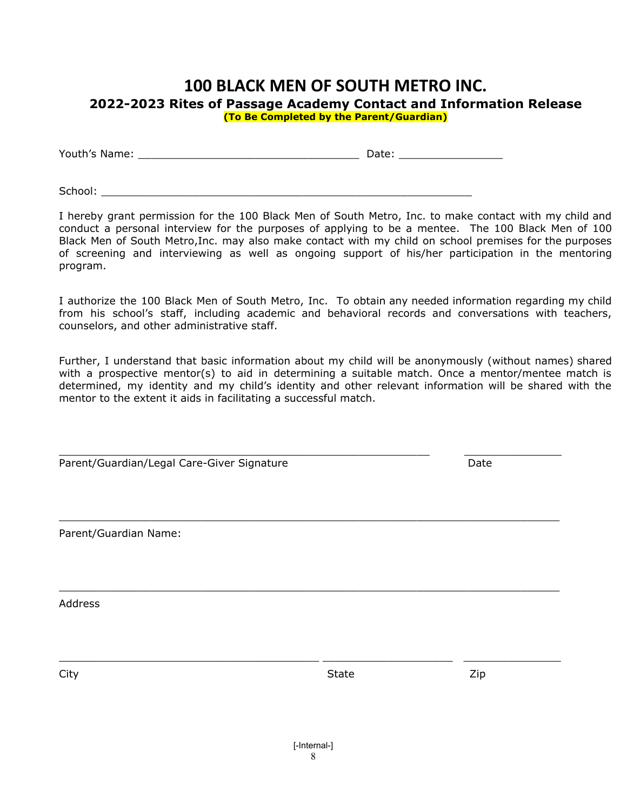#### **100 BLACK MEN OF SOUTH METRO INC. 2022-2023 Rites of Passage Academy Contact and Information Release (To Be Completed by the Parent/Guardian)**

| Youth's Name: |  | Jate ' |
|---------------|--|--------|
|---------------|--|--------|

 $School:$ 

I hereby grant permission for the 100 Black Men of South Metro, Inc. to make contact with my child and conduct a personal interview for the purposes of applying to be a mentee. The 100 Black Men of 100 Black Men of South Metro,Inc. may also make contact with my child on school premises for the purposes of screening and interviewing as well as ongoing support of his/her participation in the mentoring program.

I authorize the 100 Black Men of South Metro, Inc. To obtain any needed information regarding my child from his school's staff, including academic and behavioral records and conversations with teachers, counselors, and other administrative staff.

Further, I understand that basic information about my child will be anonymously (without names) shared with a prospective mentor(s) to aid in determining a suitable match. Once a mentor/mentee match is determined, my identity and my child's identity and other relevant information will be shared with the mentor to the extent it aids in facilitating a successful match.

Parent/Guardian/Legal Care-Giver Signature data and the Date

 $\_$  , and the set of the set of the set of the set of the set of the set of the set of the set of the set of the set of the set of the set of the set of the set of the set of the set of the set of the set of the set of th

Parent/Guardian Name:

Address

City State Zip

 $\_$  , and the contribution of the contribution of the contribution of the contribution of  $\mathcal{L}_\mathcal{A}$ 

 $\_$  , and the contribution of the contribution of the contribution of the contribution of  $\mathcal{L}_\mathcal{A}$ 

\_\_\_\_\_\_\_\_\_\_\_\_\_\_\_\_\_\_\_\_\_\_\_\_\_\_\_\_\_\_\_\_\_\_\_\_\_\_\_\_ \_\_\_\_\_\_\_\_\_\_\_\_\_\_\_\_\_\_\_\_ \_\_\_\_\_\_\_\_\_\_\_\_\_\_\_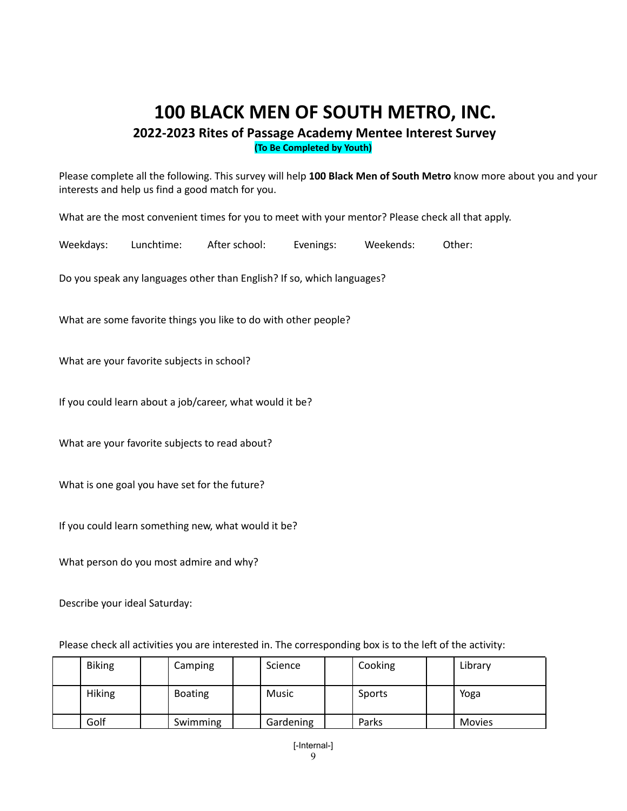**2022-2023 Rites of Passage Academy Mentee Interest Survey (To Be Completed by Youth)**

Please complete all the following. This survey will help **100 Black Men of South Metro** know more about you and your interests and help us find a good match for you.

What are the most convenient times for you to meet with your mentor? Please check all that apply.

Weekdays: Lunchtime: After school: Evenings: Weekends: Other:

Do you speak any languages other than English? If so, which languages?

What are some favorite things you like to do with other people?

What are your favorite subjects in school?

If you could learn about a job/career, what would it be?

What are your favorite subjects to read about?

What is one goal you have set for the future?

If you could learn something new, what would it be?

What person do you most admire and why?

Describe your ideal Saturday:

Please check all activities you are interested in. The corresponding box is to the left of the activity:

| <b>Biking</b> | Camping        | Science   | Cooking | Library       |
|---------------|----------------|-----------|---------|---------------|
| <b>Hiking</b> | <b>Boating</b> | Music     | Sports  | Yoga          |
| Golf          | Swimming       | Gardening | Parks   | <b>Movies</b> |